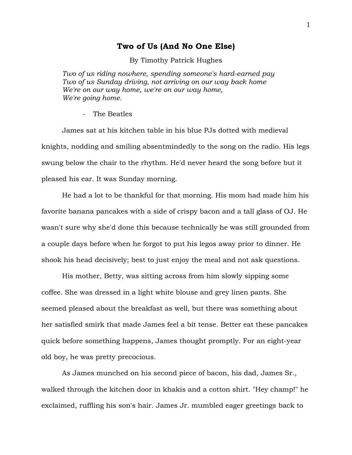## **Two of Us (And No One Else)**

By Timothy Patrick Hughes

*Two of us riding nowhere, spending someone's hard-earned pay Two of us Sunday driving, not arriving on our way back home We're on our way home, we're on our way home, We're going home.*

The Beatles

James sat at his kitchen table in his blue PJs dotted with medieval knights, nodding and smiling absentmindedly to the song on the radio. His legs swung below the chair to the rhythm. He'd never heard the song before but it pleased his ear. It was Sunday morning.

He had a lot to be thankful for that morning. His mom had made him his favorite banana pancakes with a side of crispy bacon and a tall glass of OJ. He wasn't sure why she'd done this because technically he was still grounded from a couple days before when he forgot to put his legos away prior to dinner. He shook his head decisively; best to just enjoy the meal and not ask questions.

His mother, Betty, was sitting across from him slowly sipping some coffee. She was dressed in a light white blouse and grey linen pants. She seemed pleased about the breakfast as well, but there was something about her satisfied smirk that made James feel a bit tense. Better eat these pancakes quick before something happens, James thought promptly. For an eight-year old boy, he was pretty precocious.

As James munched on his second piece of bacon, his dad, James Sr., walked through the kitchen door in khakis and a cotton shirt. "Hey champ!" he exclaimed, ruffling his son's hair. James Jr. mumbled eager greetings back to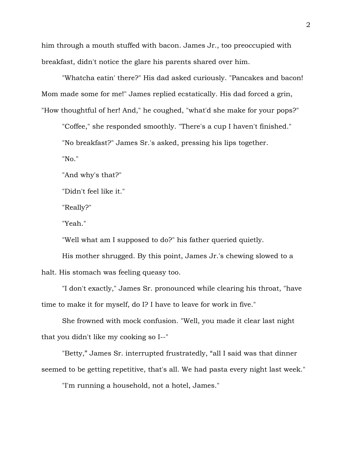him through a mouth stuffed with bacon. James Jr., too preoccupied with breakfast, didn't notice the glare his parents shared over him.

"Whatcha eatin' there?" His dad asked curiously. "Pancakes and bacon! Mom made some for me!" James replied ecstatically. His dad forced a grin, "How thoughtful of her! And," he coughed, "what'd she make for your pops?"

"Coffee," she responded smoothly. "There's a cup I haven't finished." "No breakfast?" James Sr.'s asked, pressing his lips together.

"No."

"And why's that?"

"Didn't feel like it."

"Really?"

"Yeah."

"Well what am I supposed to do?" his father queried quietly.

His mother shrugged. By this point, James Jr.'s chewing slowed to a halt. His stomach was feeling queasy too.

"I don't exactly," James Sr. pronounced while clearing his throat, "have time to make it for myself, do I? I have to leave for work in five."

She frowned with mock confusion. "Well, you made it clear last night that you didn't like my cooking so I--"

"Betty," James Sr. interrupted frustratedly, "all I said was that dinner seemed to be getting repetitive, that's all. We had pasta every night last week."

"I'm running a household, not a hotel, James."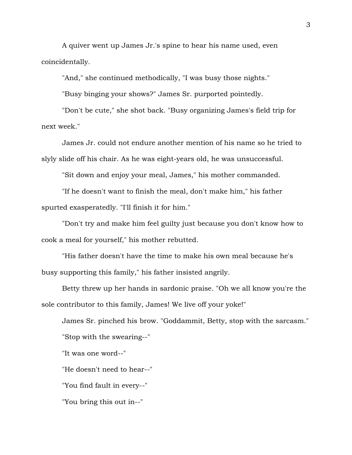A quiver went up James Jr.'s spine to hear his name used, even coincidentally.

"And," she continued methodically, "I was busy those nights."

"Busy binging your shows?" James Sr. purported pointedly.

"Don't be cute," she shot back. "Busy organizing James's field trip for next week."

James Jr. could not endure another mention of his name so he tried to slyly slide off his chair. As he was eight-years old, he was unsuccessful.

"Sit down and enjoy your meal, James," his mother commanded.

"If he doesn't want to finish the meal, don't make him," his father spurted exasperatedly. "I'll finish it for him."

"Don't try and make him feel guilty just because you don't know how to cook a meal for yourself," his mother rebutted.

"His father doesn't have the time to make his own meal because he's busy supporting this family," his father insisted angrily.

Betty threw up her hands in sardonic praise. "Oh we all know you're the sole contributor to this family, James! We live off your yoke!"

James Sr. pinched his brow. "Goddammit, Betty, stop with the sarcasm." "Stop with the swearing--"

"It was one word--"

"He doesn't need to hear--"

"You find fault in every--"

"You bring this out in--"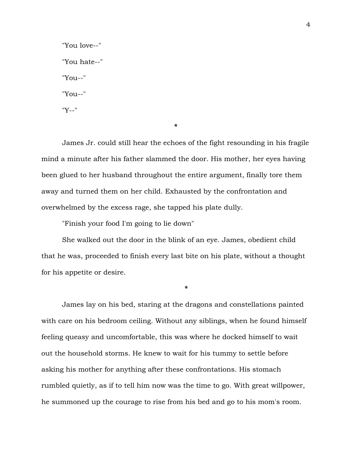"You love--" "You hate--" "You--" "You--" "Y--"

**\***

James Jr. could still hear the echoes of the fight resounding in his fragile mind a minute after his father slammed the door. His mother, her eyes having been glued to her husband throughout the entire argument, finally tore them away and turned them on her child. Exhausted by the confrontation and overwhelmed by the excess rage, she tapped his plate dully.

"Finish your food I'm going to lie down"

She walked out the door in the blink of an eye. James, obedient child that he was, proceeded to finish every last bite on his plate, without a thought for his appetite or desire.

**\***

James lay on his bed, staring at the dragons and constellations painted with care on his bedroom ceiling. Without any siblings, when he found himself feeling queasy and uncomfortable, this was where he docked himself to wait out the household storms. He knew to wait for his tummy to settle before asking his mother for anything after these confrontations. His stomach rumbled quietly, as if to tell him now was the time to go. With great willpower, he summoned up the courage to rise from his bed and go to his mom's room.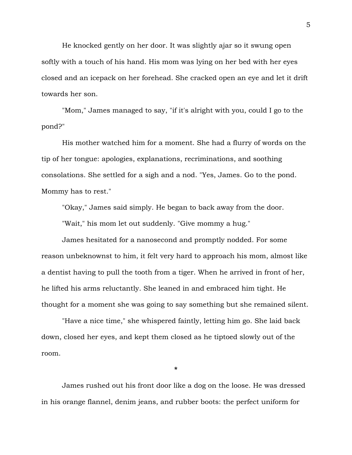He knocked gently on her door. It was slightly ajar so it swung open softly with a touch of his hand. His mom was lying on her bed with her eyes closed and an icepack on her forehead. She cracked open an eye and let it drift towards her son.

"Mom," James managed to say, "if it's alright with you, could I go to the pond?"

His mother watched him for a moment. She had a flurry of words on the tip of her tongue: apologies, explanations, recriminations, and soothing consolations. She settled for a sigh and a nod. "Yes, James. Go to the pond. Mommy has to rest."

"Okay," James said simply. He began to back away from the door.

"Wait," his mom let out suddenly. "Give mommy a hug."

James hesitated for a nanosecond and promptly nodded. For some reason unbeknownst to him, it felt very hard to approach his mom, almost like a dentist having to pull the tooth from a tiger. When he arrived in front of her, he lifted his arms reluctantly. She leaned in and embraced him tight. He thought for a moment she was going to say something but she remained silent.

"Have a nice time," she whispered faintly, letting him go. She laid back down, closed her eyes, and kept them closed as he tiptoed slowly out of the room.

James rushed out his front door like a dog on the loose. He was dressed in his orange flannel, denim jeans, and rubber boots: the perfect uniform for

**\***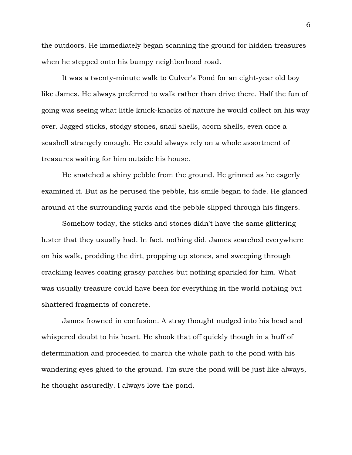the outdoors. He immediately began scanning the ground for hidden treasures when he stepped onto his bumpy neighborhood road.

It was a twenty-minute walk to Culver's Pond for an eight-year old boy like James. He always preferred to walk rather than drive there. Half the fun of going was seeing what little knick-knacks of nature he would collect on his way over. Jagged sticks, stodgy stones, snail shells, acorn shells, even once a seashell strangely enough. He could always rely on a whole assortment of treasures waiting for him outside his house.

He snatched a shiny pebble from the ground. He grinned as he eagerly examined it. But as he perused the pebble, his smile began to fade. He glanced around at the surrounding yards and the pebble slipped through his fingers.

Somehow today, the sticks and stones didn't have the same glittering luster that they usually had. In fact, nothing did. James searched everywhere on his walk, prodding the dirt, propping up stones, and sweeping through crackling leaves coating grassy patches but nothing sparkled for him. What was usually treasure could have been for everything in the world nothing but shattered fragments of concrete.

James frowned in confusion. A stray thought nudged into his head and whispered doubt to his heart. He shook that off quickly though in a huff of determination and proceeded to march the whole path to the pond with his wandering eyes glued to the ground. I'm sure the pond will be just like always, he thought assuredly. I always love the pond.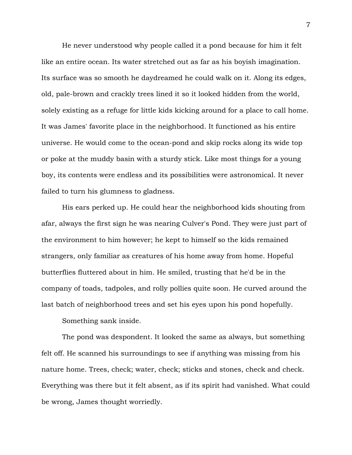He never understood why people called it a pond because for him it felt like an entire ocean. Its water stretched out as far as his boyish imagination. Its surface was so smooth he daydreamed he could walk on it. Along its edges, old, pale-brown and crackly trees lined it so it looked hidden from the world, solely existing as a refuge for little kids kicking around for a place to call home. It was James' favorite place in the neighborhood. It functioned as his entire universe. He would come to the ocean-pond and skip rocks along its wide top or poke at the muddy basin with a sturdy stick. Like most things for a young boy, its contents were endless and its possibilities were astronomical. It never failed to turn his glumness to gladness.

His ears perked up. He could hear the neighborhood kids shouting from afar, always the first sign he was nearing Culver's Pond. They were just part of the environment to him however; he kept to himself so the kids remained strangers, only familiar as creatures of his home away from home. Hopeful butterflies fluttered about in him. He smiled, trusting that he'd be in the company of toads, tadpoles, and rolly pollies quite soon. He curved around the last batch of neighborhood trees and set his eyes upon his pond hopefully.

Something sank inside.

The pond was despondent. It looked the same as always, but something felt off. He scanned his surroundings to see if anything was missing from his nature home. Trees, check; water, check; sticks and stones, check and check. Everything was there but it felt absent, as if its spirit had vanished. What could be wrong, James thought worriedly.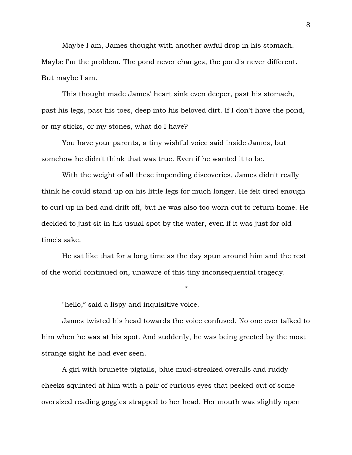Maybe I am, James thought with another awful drop in his stomach. Maybe I'm the problem. The pond never changes, the pond's never different. But maybe I am.

This thought made James' heart sink even deeper, past his stomach, past his legs, past his toes, deep into his beloved dirt. If I don't have the pond, or my sticks, or my stones, what do I have?

You have your parents, a tiny wishful voice said inside James, but somehow he didn't think that was true. Even if he wanted it to be.

With the weight of all these impending discoveries, James didn't really think he could stand up on his little legs for much longer. He felt tired enough to curl up in bed and drift off, but he was also too worn out to return home. He decided to just sit in his usual spot by the water, even if it was just for old time's sake.

He sat like that for a long time as the day spun around him and the rest of the world continued on, unaware of this tiny inconsequential tragedy.

\*

"hello," said a lispy and inquisitive voice.

James twisted his head towards the voice confused. No one ever talked to him when he was at his spot. And suddenly, he was being greeted by the most strange sight he had ever seen.

A girl with brunette pigtails, blue mud-streaked overalls and ruddy cheeks squinted at him with a pair of curious eyes that peeked out of some oversized reading goggles strapped to her head. Her mouth was slightly open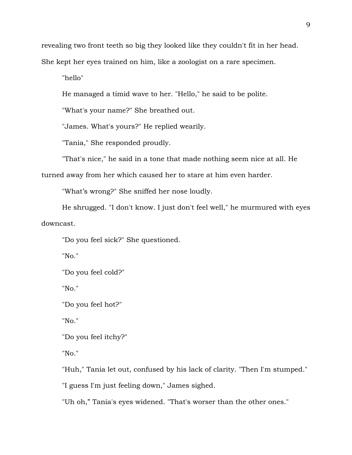revealing two front teeth so big they looked like they couldn't fit in her head. She kept her eyes trained on him, like a zoologist on a rare specimen.

"hello"

He managed a timid wave to her. "Hello," he said to be polite.

"What's your name?" She breathed out.

"James. What's yours?" He replied wearily.

"Tania," She responded proudly.

"That's nice," he said in a tone that made nothing seem nice at all. He

turned away from her which caused her to stare at him even harder.

"What's wrong?" She sniffed her nose loudly.

He shrugged. "I don't know. I just don't feel well," he murmured with eyes downcast.

"Do you feel sick?" She questioned.

"No."

"Do you feel cold?"

"No."

"Do you feel hot?"

"No."

"Do you feel itchy?"

"No."

"Huh," Tania let out, confused by his lack of clarity. "Then I'm stumped."

"I guess I'm just feeling down," James sighed.

"Uh oh," Tania's eyes widened. "That's worser than the other ones."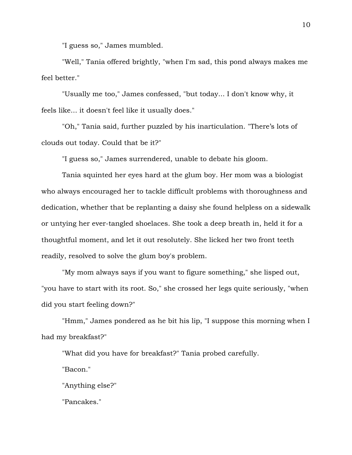"I guess so," James mumbled.

"Well," Tania offered brightly, "when I'm sad, this pond always makes me feel better."

"Usually me too," James confessed, "but today... I don't know why, it feels like... it doesn't feel like it usually does."

"Oh," Tania said, further puzzled by his inarticulation. "There's lots of clouds out today. Could that be it?"

"I guess so," James surrendered, unable to debate his gloom.

Tania squinted her eyes hard at the glum boy. Her mom was a biologist who always encouraged her to tackle difficult problems with thoroughness and dedication, whether that be replanting a daisy she found helpless on a sidewalk or untying her ever-tangled shoelaces. She took a deep breath in, held it for a thoughtful moment, and let it out resolutely. She licked her two front teeth readily, resolved to solve the glum boy's problem.

"My mom always says if you want to figure something," she lisped out, "you have to start with its root. So," she crossed her legs quite seriously, "when did you start feeling down?"

"Hmm," James pondered as he bit his lip, "I suppose this morning when I had my breakfast?"

"What did you have for breakfast?" Tania probed carefully.

"Bacon."

"Anything else?"

"Pancakes."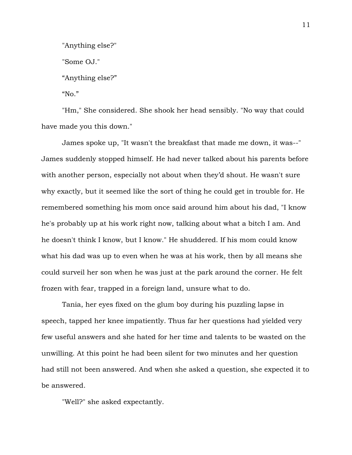"Anything else?"

"Some OJ."

"Anything else?"

" $No.$ "

"Hm," She considered. She shook her head sensibly. "No way that could have made you this down."

James spoke up, "It wasn't the breakfast that made me down, it was--" James suddenly stopped himself. He had never talked about his parents before with another person, especially not about when they'd shout. He wasn't sure why exactly, but it seemed like the sort of thing he could get in trouble for. He remembered something his mom once said around him about his dad, "I know he's probably up at his work right now, talking about what a bitch I am. And he doesn't think I know, but I know." He shuddered. If his mom could know what his dad was up to even when he was at his work, then by all means she could surveil her son when he was just at the park around the corner. He felt frozen with fear, trapped in a foreign land, unsure what to do.

Tania, her eyes fixed on the glum boy during his puzzling lapse in speech, tapped her knee impatiently. Thus far her questions had yielded very few useful answers and she hated for her time and talents to be wasted on the unwilling. At this point he had been silent for two minutes and her question had still not been answered. And when she asked a question, she expected it to be answered.

"Well?" she asked expectantly.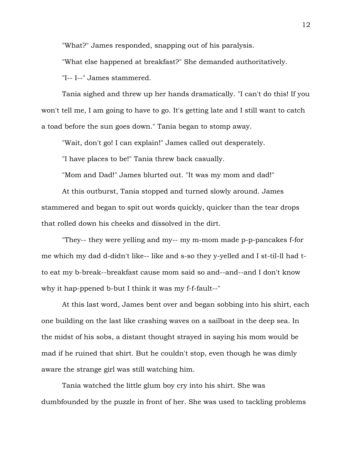"What?" James responded, snapping out of his paralysis.

"What else happened at breakfast?" She demanded authoritatively.

"I-- I--" James stammered.

Tania sighed and threw up her hands dramatically. "I can't do this! If you won't tell me, I am going to have to go. It's getting late and I still want to catch a toad before the sun goes down." Tania began to stomp away.

"Wait, don't go! I can explain!" James called out desperately.

"I have places to be!" Tania threw back casually.

"Mom and Dad!" James blurted out. "It was my mom and dad!"

At this outburst, Tania stopped and turned slowly around. James stammered and began to spit out words quickly, quicker than the tear drops that rolled down his cheeks and dissolved in the dirt.

"They-- they were yelling and my-- my m-mom made p-p-pancakes f-for me which my dad d-didn't like-- like and s-so they y-yelled and I st-til-ll had tto eat my b-break--breakfast cause mom said so and--and--and I don't know why it hap-ppened b-but I think it was my f-f-fault--"

At this last word, James bent over and began sobbing into his shirt, each one building on the last like crashing waves on a sailboat in the deep sea. In the midst of his sobs, a distant thought strayed in saying his mom would be mad if he ruined that shirt. But he couldn't stop, even though he was dimly aware the strange girl was still watching him.

Tania watched the little glum boy cry into his shirt. She was dumbfounded by the puzzle in front of her. She was used to tackling problems